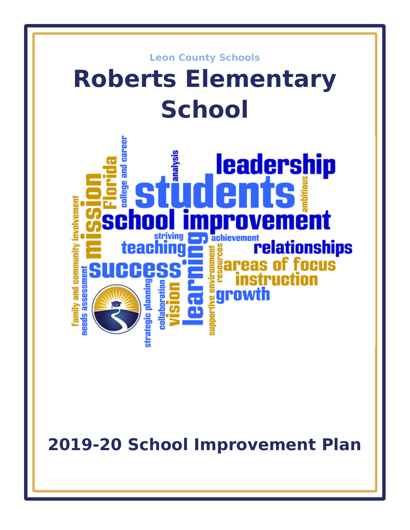

**2019-20 School Improvement Plan**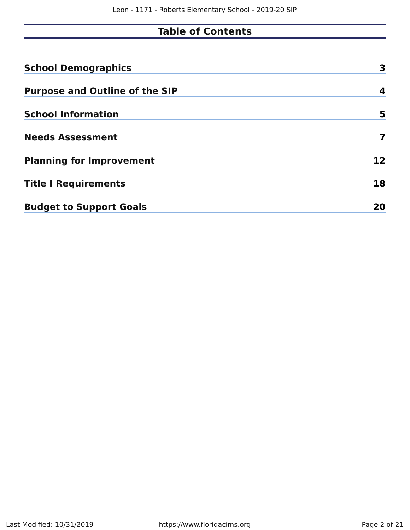# **Table of Contents**

| <b>School Demographics</b>            | 3  |
|---------------------------------------|----|
| <b>Purpose and Outline of the SIP</b> | 4  |
| <b>School Information</b>             | 5  |
| <b>Needs Assessment</b>               | 7  |
| <b>Planning for Improvement</b>       | 12 |
| <b>Title I Requirements</b>           | 18 |
| <b>Budget to Support Goals</b>        | 20 |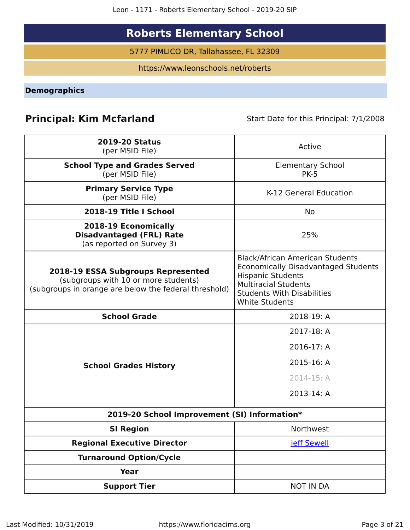Leon - 1171 - Roberts Elementary School - 2019-20 SIP

# **Roberts Elementary School**

5777 PIMLICO DR, Tallahassee, FL 32309

https://www.leonschools.net/roberts

<span id="page-2-0"></span>**Demographics**

## **Principal: Kim Mcfarland** Start Date for this Principal: 7/1/2008

| <b>2019-20 Status</b><br>(per MSID File)                                                                                                   | Active                                                                                                                                                                                                        |
|--------------------------------------------------------------------------------------------------------------------------------------------|---------------------------------------------------------------------------------------------------------------------------------------------------------------------------------------------------------------|
| <b>School Type and Grades Served</b><br>(per MSID File)                                                                                    | <b>Elementary School</b><br><b>PK-5</b>                                                                                                                                                                       |
| <b>Primary Service Type</b><br>(per MSID File)                                                                                             | K-12 General Education                                                                                                                                                                                        |
| 2018-19 Title I School                                                                                                                     | <b>No</b>                                                                                                                                                                                                     |
| 2018-19 Economically<br><b>Disadvantaged (FRL) Rate</b><br>(as reported on Survey 3)                                                       | 25%                                                                                                                                                                                                           |
| <b>2018-19 ESSA Subgroups Represented</b><br>(subgroups with 10 or more students)<br>(subgroups in orange are below the federal threshold) | <b>Black/African American Students</b><br><b>Economically Disadvantaged Students</b><br><b>Hispanic Students</b><br><b>Multiracial Students</b><br><b>Students With Disabilities</b><br><b>White Students</b> |
| <b>School Grade</b>                                                                                                                        | 2018-19: A                                                                                                                                                                                                    |
|                                                                                                                                            | 2017-18: A                                                                                                                                                                                                    |
|                                                                                                                                            | 2016-17: A                                                                                                                                                                                                    |
| <b>School Grades History</b>                                                                                                               | 2015-16: A                                                                                                                                                                                                    |
|                                                                                                                                            | 2014-15: A                                                                                                                                                                                                    |
|                                                                                                                                            | 2013-14: A                                                                                                                                                                                                    |
| 2019-20 School Improvement (SI) Information*                                                                                               |                                                                                                                                                                                                               |
| <b>SI Region</b>                                                                                                                           | Northwest                                                                                                                                                                                                     |
| <b>Regional Executive Director</b>                                                                                                         | <b>Jeff Sewell</b>                                                                                                                                                                                            |
| <b>Turnaround Option/Cycle</b>                                                                                                             |                                                                                                                                                                                                               |
| <b>Year</b>                                                                                                                                |                                                                                                                                                                                                               |
| <b>Support Tier</b>                                                                                                                        | <b>NOT IN DA</b>                                                                                                                                                                                              |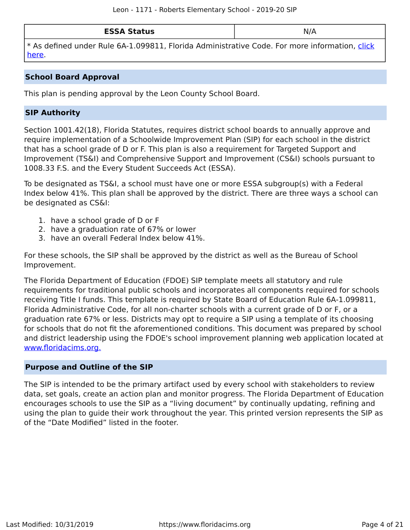| <b>ESSA Status</b> | NL.<br><b>v</b> // |
|--------------------|--------------------|
|--------------------|--------------------|

\* As defined under Rule 6A-1.099811, Florida Administrative Code. For more information, [click](/downloads?category=da-forms) [here](/downloads?category=da-forms).

### **School Board Approval**

This plan is pending approval by the Leon County School Board.

### **SIP Authority**

Section 1001.42(18), Florida Statutes, requires district school boards to annually approve and require implementation of a Schoolwide Improvement Plan (SIP) for each school in the district that has a school grade of D or F. This plan is also a requirement for Targeted Support and Improvement (TS&I) and Comprehensive Support and Improvement (CS&I) schools pursuant to 1008.33 F.S. and the Every Student Succeeds Act (ESSA).

To be designated as TS&I, a school must have one or more ESSA subgroup(s) with a Federal Index below 41%. This plan shall be approved by the district. There are three ways a school can be designated as CS&I:

- 1. have a school grade of D or F
- 2. have a graduation rate of 67% or lower
- 3. have an overall Federal Index below 41%.

For these schools, the SIP shall be approved by the district as well as the Bureau of School Improvement.

The Florida Department of Education (FDOE) SIP template meets all statutory and rule requirements for traditional public schools and incorporates all components required for schools receiving Title I funds. This template is required by State Board of Education Rule 6A-1.099811, Florida Administrative Code, for all non-charter schools with a current grade of D or F, or a graduation rate 67% or less. Districts may opt to require a SIP using a template of its choosing for schools that do not fit the aforementioned conditions. This document was prepared by school and district leadership using the FDOE's school improvement planning web application located at [www.floridacims.org.](https://www.floridacims.org)

### <span id="page-3-0"></span>**Purpose and Outline of the SIP**

The SIP is intended to be the primary artifact used by every school with stakeholders to review data, set goals, create an action plan and monitor progress. The Florida Department of Education encourages schools to use the SIP as a "living document" by continually updating, refining and using the plan to guide their work throughout the year. This printed version represents the SIP as of the "Date Modified" listed in the footer.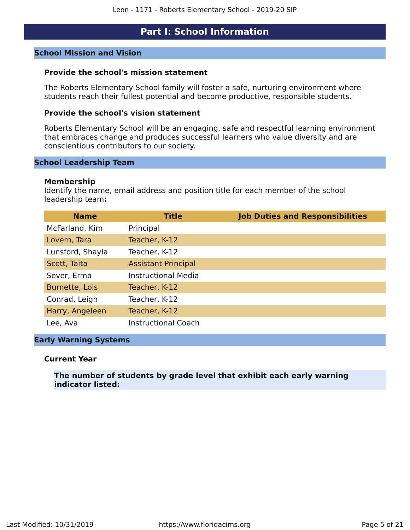### **Part I: School Information**

### <span id="page-4-0"></span>**School Mission and Vision**

### **Provide the school's mission statement**

The Roberts Elementary School family will foster a safe, nurturing environment where students reach their fullest potential and become productive, responsible students.

### **Provide the school's vision statement**

Roberts Elementary School will be an engaging, safe and respectful learning environment that embraces change and produces successful learners who value diversity and are conscientious contributors to our society.

#### **School Leadership Team**

#### **Membership**

Identify the name, email address and position title for each member of the school leadership team**:**

| <b>Name</b>      | <b>Title</b>               | <b>Job Duties and Responsibilities</b> |
|------------------|----------------------------|----------------------------------------|
| McFarland, Kim   | Principal                  |                                        |
| Lovern, Tara     | Teacher, K-12              |                                        |
| Lunsford, Shayla | Teacher, K-12              |                                        |
| Scott, Taita     | <b>Assistant Principal</b> |                                        |
| Sever, Erma      | <b>Instructional Media</b> |                                        |
| Burnette, Lois   | Teacher, K-12              |                                        |
| Conrad, Leigh    | Teacher, K-12              |                                        |
| Harry, Angeleen  | Teacher, K-12              |                                        |
| Lee, Ava         | <b>Instructional Coach</b> |                                        |

### **Early Warning Systems**

#### **Current Year**

### **The number of students by grade level that exhibit each early warning indicator listed:**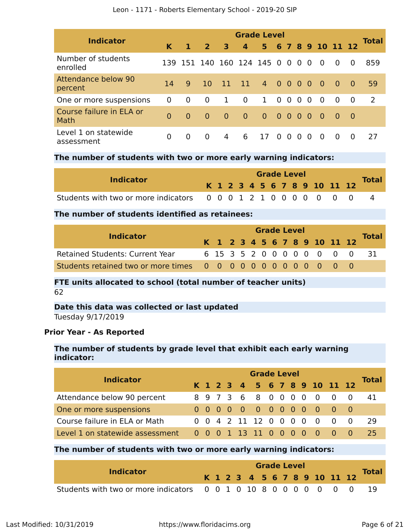| Leon - 1171 - Roberts Elementary School - 2019-20 SIP |  |
|-------------------------------------------------------|--|
|-------------------------------------------------------|--|

| <b>Indicator</b>                      | <b>Grade Level</b> |          |                |          |                   |          |                   |                |          |                |                  |                |          |              |
|---------------------------------------|--------------------|----------|----------------|----------|-------------------|----------|-------------------|----------------|----------|----------------|------------------|----------------|----------|--------------|
|                                       | K                  | 1        | 2 <sup>1</sup> | 3        | $\overline{4}$    | 5        |                   |                |          |                | 6 7 8 9 10 11 12 |                |          | <b>Total</b> |
| Number of students<br>enrolled        | 139                | 151      |                |          | 140 160 124 145 0 |          |                   | 0 <sub>0</sub> |          | $\Omega$       | - 0              | $\Omega$       | $\Omega$ | 859          |
| <b>Attendance below 90</b><br>percent | 14                 | 9        | <sup>10</sup>  | 11       | $-11$             | 4 0 0 0  |                   |                |          | - 0            | - 0              | $\overline{0}$ | - 0      | 59           |
| One or more suspensions               | $\Omega$           | $\Omega$ | 0              | 1        | $\overline{0}$    | 1        | $\Omega$          | $\overline{0}$ | $\Omega$ | $\Omega$       | $\Omega$         | $\Omega$       | $\Omega$ | 2            |
| Course failure in ELA or<br>Math      | $\Omega$           | $\Omega$ | $\Omega$       | $\Omega$ | $\overline{0}$    | $\Omega$ | $0\quad 0\quad 0$ |                |          | $\overline{0}$ | - 0              | - 0            | - 0      |              |
| Level 1 on statewide<br>assessment    | $\Omega$           | $\Omega$ | $\Omega$       | 4        | 6                 | 17       | $\Omega$          | - 0            | $\Omega$ | $\Omega$       | - 0              | $\Omega$       | $\Omega$ | 27           |

### **The number of students with two or more early warning indicators:**

| <b>Indicator</b>                                                 |  |  |  | <b>Grade Level</b> |  |  |                              |              |
|------------------------------------------------------------------|--|--|--|--------------------|--|--|------------------------------|--------------|
|                                                                  |  |  |  |                    |  |  | K 1 2 3 4 5 6 7 8 9 10 11 12 | <b>Total</b> |
| Students with two or more indicators 0 0 0 1 2 1 0 0 0 0 0 0 0 0 |  |  |  |                    |  |  |                              |              |

### **The number of students identified as retainees:**

|                                        |  |  |  |  | <b>Grade Level</b> |                              |                            |              |
|----------------------------------------|--|--|--|--|--------------------|------------------------------|----------------------------|--------------|
| <b>Indicator</b>                       |  |  |  |  |                    | K 1 2 3 4 5 6 7 8 9 10 11 12 |                            | <b>Total</b> |
| <b>Retained Students: Current Year</b> |  |  |  |  |                    |                              | 6 15 3 5 2 0 0 0 0 0 0 0 0 | - 31         |
|                                        |  |  |  |  |                    |                              |                            |              |

### **FTE units allocated to school (total number of teacher units)** 62

### **Date this data was collected or last updated**

Tuesday 9/17/2019

### **Prior Year - As Reported**

### **The number of students by grade level that exhibit each early warning indicator:**

| <b>Indicator</b>                |  | <b>Grade Level</b> |  |  |  |  |  |  |  |  |                              |  |                           |              |  |  |
|---------------------------------|--|--------------------|--|--|--|--|--|--|--|--|------------------------------|--|---------------------------|--------------|--|--|
|                                 |  |                    |  |  |  |  |  |  |  |  | K 1 2 3 4 5 6 7 8 9 10 11 12 |  |                           | <b>Total</b> |  |  |
| Attendance below 90 percent     |  |                    |  |  |  |  |  |  |  |  |                              |  | 8 9 7 3 6 8 0 0 0 0 0 0 0 | 41           |  |  |
| One or more suspensions         |  |                    |  |  |  |  |  |  |  |  | 0 0 0 0 0 0 0 0 0 0 0 0 0    |  |                           |              |  |  |
| Course failure in ELA or Math   |  |                    |  |  |  |  |  |  |  |  | 0 0 4 2 11 12 0 0 0 0 0 0 0  |  |                           | 29           |  |  |
| Level 1 on statewide assessment |  |                    |  |  |  |  |  |  |  |  | 0 0 0 1 13 11 0 0 0 0 0 0 0  |  |                           | 25           |  |  |

### **The number of students with two or more early warning indicators:**

| <b>Indicator</b>                                                  |  |  |  |  | <b>Grade Level</b> |  |                              | <b>Total</b> |
|-------------------------------------------------------------------|--|--|--|--|--------------------|--|------------------------------|--------------|
|                                                                   |  |  |  |  |                    |  | K 1 2 3 4 5 6 7 8 9 10 11 12 |              |
| Students with two or more indicators 0 0 1 0 10 8 0 0 0 0 0 0 0 0 |  |  |  |  |                    |  |                              |              |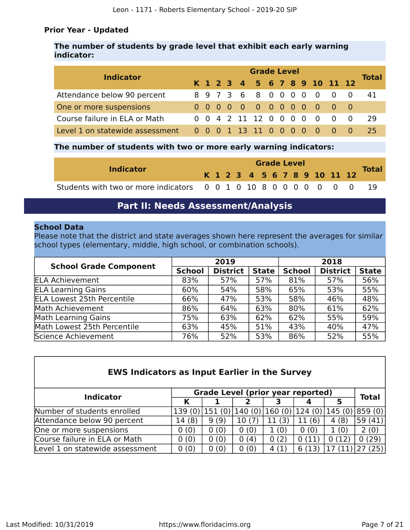### **Prior Year - Updated**

### **The number of students by grade level that exhibit each early warning indicator:**

| <b>Indicator</b>                |  | <b>Grade Level</b> |  |  |  |                       |  |  |  |  |  |                                         |  |       |  |  |
|---------------------------------|--|--------------------|--|--|--|-----------------------|--|--|--|--|--|-----------------------------------------|--|-------|--|--|
|                                 |  |                    |  |  |  |                       |  |  |  |  |  | K 1 2 3 4 5 6 7 8 9 10 11 12            |  | Total |  |  |
| Attendance below 90 percent     |  |                    |  |  |  |                       |  |  |  |  |  | 8 9 7 3 6 8 0 0 0 0 0 0 0               |  | 41    |  |  |
| One or more suspensions         |  |                    |  |  |  |                       |  |  |  |  |  | 0 0 0 0 0 0 0 0 0 0 0 0 0               |  |       |  |  |
| Course failure in ELA or Math   |  |                    |  |  |  | 0 0 4 2 11 12 0 0 0 0 |  |  |  |  |  | $\begin{matrix} 0 & 0 & 0 \end{matrix}$ |  | 29    |  |  |
| Level 1 on statewide assessment |  |                    |  |  |  |                       |  |  |  |  |  | 0 0 0 1 13 11 0 0 0 0 0 0 0             |  | 25    |  |  |

### **The number of students with two or more early warning indicators:**

| <b>Indicator</b>                                                  |  |  |  |  | <b>Grade Level</b> |  |                              | <b>Total</b> |
|-------------------------------------------------------------------|--|--|--|--|--------------------|--|------------------------------|--------------|
|                                                                   |  |  |  |  |                    |  | K 1 2 3 4 5 6 7 8 9 10 11 12 |              |
| Students with two or more indicators 0 0 1 0 10 8 0 0 0 0 0 0 0 0 |  |  |  |  |                    |  |                              |              |

### **Part II: Needs Assessment/Analysis**

### <span id="page-6-0"></span>**School Data**

Please note that the district and state averages shown here represent the averages for similar school types (elementary, middle, high school, or combination schools).

| <b>School Grade Component</b>     |               | 2019            |              | 2018          |                 |              |  |
|-----------------------------------|---------------|-----------------|--------------|---------------|-----------------|--------------|--|
|                                   | <b>School</b> | <b>District</b> | <b>State</b> | <b>School</b> | <b>District</b> | <b>State</b> |  |
| <b>ELA Achievement</b>            | 83%           | 57%             | 57%          | 81%           | 57%             | 56%          |  |
| <b>ELA Learning Gains</b>         | 60%           | 54%             | 58%          | 65%           | 53%             | 55%          |  |
| <b>ELA Lowest 25th Percentile</b> | 66%           | 47%             | 53%          | 58%           | 46%             | 48%          |  |
| Math Achievement                  | 86%           | 64%             | 63%          | 80%           | 61%             | 62%          |  |
| <b>Math Learning Gains</b>        | 75%           | 63%             | 62%          | 62%           | 55%             | 59%          |  |
| Math Lowest 25th Percentile       | 63%           | 45%             | 51%          | 43%           | 40%             | 47%          |  |
| Science Achievement               | 76%           | 52%             | 53%          | 86%           | 52%             | 55%          |  |

| <b>EWS Indicators as Input Earlier in the Survey</b> |        |                                          |        |        |        |        |              |
|------------------------------------------------------|--------|------------------------------------------|--------|--------|--------|--------|--------------|
| <b>Indicator</b>                                     |        | <b>Grade Level (prior year reported)</b> |        |        |        |        | <b>Total</b> |
|                                                      | Κ      |                                          | 2      |        |        | 5      |              |
| Number of students enrolled                          | 139(0) | 151(0)                                   | 140(0) | 160(0) | 124(0) | 145(0) | 859 (0)      |
| Attendance below 90 percent                          | 14(8)  | 9(9)                                     | 10(7)  | 11(3)  | 11(6)  | 4(8)   | 59 (41)      |
| One or more suspensions                              | 0(0)   | 0(0)                                     | 0(0)   | 1(0)   | 0(0)   | 1(0)   | 2(0)         |
| Course failure in ELA or Math                        | 0(0)   | 0(0)                                     | 0(4)   | 0(2)   | 0(11)  | 0(12)  | 0(29)        |
| Level 1 on statewide assessment                      | 0(0)   | 0(0)                                     | 0(0)   | 4(1)   | 6(13)  |        |              |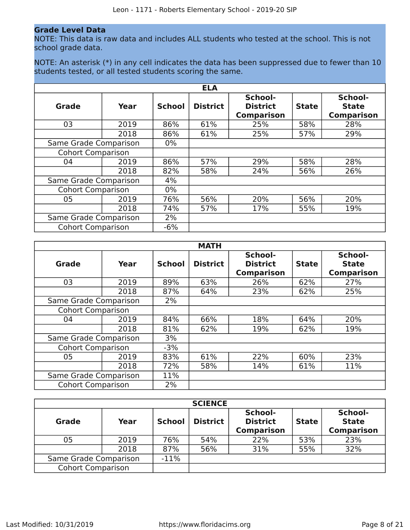### **Grade Level Data**

NOTE: This data is raw data and includes ALL students who tested at the school. This is not school grade data.

NOTE: An asterisk (\*) in any cell indicates the data has been suppressed due to fewer than 10 students tested, or all tested students scoring the same.

|                          |      |               | <b>ELA</b>      |                                                 |              |                                              |
|--------------------------|------|---------------|-----------------|-------------------------------------------------|--------------|----------------------------------------------|
| <b>Grade</b>             | Year | <b>School</b> | <b>District</b> | School-<br><b>District</b><br><b>Comparison</b> | <b>State</b> | School-<br><b>State</b><br><b>Comparison</b> |
| 03                       | 2019 | 86%           | 61%             | 25%                                             | 58%          | 28%                                          |
|                          | 2018 | 86%           | 61%             | 25%                                             | 57%          | 29%                                          |
| Same Grade Comparison    |      | $0\%$         |                 |                                                 |              |                                              |
| <b>Cohort Comparison</b> |      |               |                 |                                                 |              |                                              |
| 04                       | 2019 | 86%           | 57%             | 29%                                             | 58%          | 28%                                          |
|                          | 2018 | 82%           | 58%             | 24%                                             | 56%          | 26%                                          |
| Same Grade Comparison    |      | 4%            |                 |                                                 |              |                                              |
| <b>Cohort Comparison</b> |      | $0\%$         |                 |                                                 |              |                                              |
| 05                       | 2019 | 76%           | 56%             | 20%                                             | 56%          | 20%                                          |
|                          | 2018 | 74%           | 57%             | 17%                                             | 55%          | 19%                                          |
| Same Grade Comparison    |      | 2%            |                 |                                                 |              |                                              |
| <b>Cohort Comparison</b> |      | $-6%$         |                 |                                                 |              |                                              |

|                          |      |               | <b>MATH</b>     |                                                 |              |                                              |
|--------------------------|------|---------------|-----------------|-------------------------------------------------|--------------|----------------------------------------------|
| Grade                    | Year | <b>School</b> | <b>District</b> | School-<br><b>District</b><br><b>Comparison</b> | <b>State</b> | School-<br><b>State</b><br><b>Comparison</b> |
| 03                       | 2019 | 89%           | 63%             | 26%                                             | 62%          | 27%                                          |
|                          | 2018 | 87%           | 64%             | 23%                                             | 62%          | 25%                                          |
| Same Grade Comparison    |      | 2%            |                 |                                                 |              |                                              |
| <b>Cohort Comparison</b> |      |               |                 |                                                 |              |                                              |
| 04                       | 2019 | 84%           | 66%             | 18%                                             | 64%          | 20%                                          |
|                          | 2018 | 81%           | 62%             | 19%                                             | 62%          | 19%                                          |
| Same Grade Comparison    |      | 3%            |                 |                                                 |              |                                              |
| <b>Cohort Comparison</b> |      | $-3%$         |                 |                                                 |              |                                              |
| 05                       | 2019 | 83%           | 61%             | 22%                                             | 60%          | 23%                                          |
|                          | 2018 | 72%           | 58%             | 14%                                             | 61%          | 11%                                          |
| Same Grade Comparison    |      | 11%           |                 |                                                 |              |                                              |
| <b>Cohort Comparison</b> |      | 2%            |                 |                                                 |              |                                              |

|                          |      |               | <b>SCIENCE</b>  |                                                 |              |                                              |
|--------------------------|------|---------------|-----------------|-------------------------------------------------|--------------|----------------------------------------------|
| <b>Grade</b>             | Year | <b>School</b> | <b>District</b> | School-<br><b>District</b><br><b>Comparison</b> | <b>State</b> | School-<br><b>State</b><br><b>Comparison</b> |
| 05                       | 2019 | 76%           | 54%             | 22%                                             | 53%          | 23%                                          |
|                          | 2018 | 87%           | 56%             | 31%                                             | 55%          | 32%                                          |
| Same Grade Comparison    |      | $-11%$        |                 |                                                 |              |                                              |
| <b>Cohort Comparison</b> |      |               |                 |                                                 |              |                                              |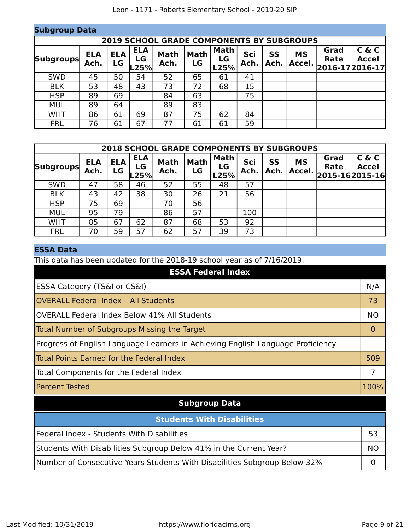| <b>Subgroup Data</b>                             |                    |                  |                          |                     |                   |                           |             |                   |                     |                                 |                       |
|--------------------------------------------------|--------------------|------------------|--------------------------|---------------------|-------------------|---------------------------|-------------|-------------------|---------------------|---------------------------------|-----------------------|
| <b>2019 SCHOOL GRADE COMPONENTS BY SUBGROUPS</b> |                    |                  |                          |                     |                   |                           |             |                   |                     |                                 |                       |
| <b>Subgroups</b>                                 | <b>ELA</b><br>Ach. | <b>ELA</b><br>LG | <b>ELA</b><br>LG<br>L25% | <b>Math</b><br>Ach. | <b>Math</b><br>LG | <b>Math</b><br>LG<br>L25% | Sci<br>Ach. | <b>SS</b><br>Ach. | <b>MS</b><br>Accel. | Grad<br>Rate<br>2016-17 2016-17 | C & C<br><b>Accel</b> |
| <b>SWD</b>                                       | 45                 | 50               | 54                       | 52                  | 65                | 61                        | 41          |                   |                     |                                 |                       |
| <b>BLK</b>                                       | 53                 | 48               | 43                       | 73                  | 72                | 68                        | 15          |                   |                     |                                 |                       |
| <b>HSP</b>                                       | 89                 | 69               |                          | 84                  | 63                |                           | 75          |                   |                     |                                 |                       |
| <b>MUL</b>                                       | 89                 | 64               |                          | 89                  | 83                |                           |             |                   |                     |                                 |                       |
| <b>WHT</b>                                       | 86                 | 61               | 69                       | 87                  | 75                | 62                        | 84          |                   |                     |                                 |                       |
| <b>FRL</b>                                       | 76                 | 61               | 67                       | 77                  | 61                | 61                        | 59          |                   |                     |                                 |                       |

| <b>2018 SCHOOL GRADE COMPONENTS BY SUBGROUPS</b> |                    |                  |                          |                     |                   |                           |             |                   |                     |                                       |                       |
|--------------------------------------------------|--------------------|------------------|--------------------------|---------------------|-------------------|---------------------------|-------------|-------------------|---------------------|---------------------------------------|-----------------------|
| <b>Subgroups</b>                                 | <b>ELA</b><br>Ach. | <b>ELA</b><br>LG | <b>ELA</b><br>LG<br>L25% | <b>Math</b><br>Ach. | <b>Math</b><br>LG | <b>Math</b><br>LG<br>L25% | Sci<br>Ach. | <b>SS</b><br>Ach. | <b>MS</b><br>Accel. | Grad<br><b>Rate</b><br>2015-162015-16 | C & C<br><b>Accel</b> |
| <b>SWD</b>                                       | 47                 | 58               | 46                       | 52                  | 55                | 48                        | 57          |                   |                     |                                       |                       |
| <b>BLK</b>                                       | 43                 | 42               | 38                       | 30                  | 26                | 21                        | 56          |                   |                     |                                       |                       |
| <b>HSP</b>                                       | 75                 | 69               |                          | 70                  | 56                |                           |             |                   |                     |                                       |                       |
| <b>MUL</b>                                       | 95                 | 79               |                          | 86                  | 57                |                           | 100         |                   |                     |                                       |                       |
| <b>WHT</b>                                       | 85                 | 67               | 62                       | 87                  | 68                | 53                        | 92          |                   |                     |                                       |                       |
| <b>FRL</b>                                       | 70                 | 59               | 57                       | 62                  | 57                | 39                        | 73          |                   |                     |                                       |                       |

### **ESSA Data**

This data has been updated for the 2018-19 school year as of 7/16/2019.

| <b>ESSA Federal Index</b>                                                       |           |
|---------------------------------------------------------------------------------|-----------|
| ESSA Category (TS&I or CS&I)                                                    | N/A       |
| <b>OVERALL Federal Index - All Students</b>                                     | 73        |
| <b>OVERALL Federal Index Below 41% All Students</b>                             | <b>NO</b> |
| Total Number of Subgroups Missing the Target                                    | 0         |
| Progress of English Language Learners in Achieving English Language Proficiency |           |
| Total Points Earned for the Federal Index                                       | 509       |
| Total Components for the Federal Index                                          | 7         |
| <b>Percent Tested</b>                                                           | 100%      |
| <b>Subgroup Data</b>                                                            |           |
| <b>Students With Disabilities</b>                                               |           |
| Federal Index - Students With Disabilities                                      | 53        |
| Students With Disabilities Subgroup Below 41% in the Current Year?              | <b>NO</b> |
| Number of Consecutive Years Students With Disabilities Subgroup Below 32%       | 0         |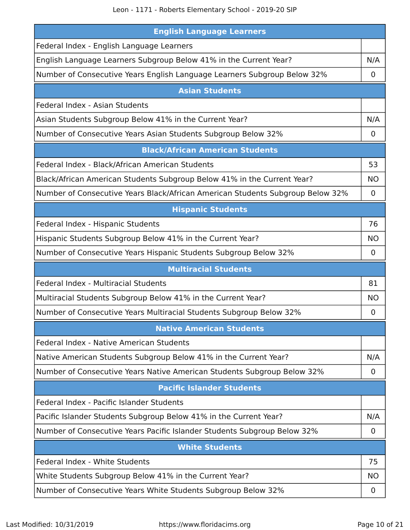Leon - 1171 - Roberts Elementary School - 2019-20 SIP

| <b>English Language Learners</b>                                               |                |
|--------------------------------------------------------------------------------|----------------|
| Federal Index - English Language Learners                                      |                |
| English Language Learners Subgroup Below 41% in the Current Year?              | N/A            |
| Number of Consecutive Years English Language Learners Subgroup Below 32%       | 0              |
| <b>Asian Students</b>                                                          |                |
| Federal Index - Asian Students                                                 |                |
| Asian Students Subgroup Below 41% in the Current Year?                         | N/A            |
| Number of Consecutive Years Asian Students Subgroup Below 32%                  | 0              |
| <b>Black/African American Students</b>                                         |                |
| Federal Index - Black/African American Students                                | 53             |
| Black/African American Students Subgroup Below 41% in the Current Year?        | <b>NO</b>      |
| Number of Consecutive Years Black/African American Students Subgroup Below 32% | 0              |
| <b>Hispanic Students</b>                                                       |                |
| Federal Index - Hispanic Students                                              | 76             |
| Hispanic Students Subgroup Below 41% in the Current Year?                      | <b>NO</b>      |
| Number of Consecutive Years Hispanic Students Subgroup Below 32%               | $\overline{0}$ |
|                                                                                |                |
| <b>Multiracial Students</b>                                                    |                |
| <b>Federal Index - Multiracial Students</b>                                    | 81             |
| Multiracial Students Subgroup Below 41% in the Current Year?                   | <b>NO</b>      |
| Number of Consecutive Years Multiracial Students Subgroup Below 32%            | 0              |
| <b>Native American Students</b>                                                |                |
| Federal Index - Native American Students                                       |                |
| Native American Students Subgroup Below 41% in the Current Year?               | N/A            |
| Number of Consecutive Years Native American Students Subgroup Below 32%        | 0              |
| <b>Pacific Islander Students</b>                                               |                |
| Federal Index - Pacific Islander Students                                      |                |
| Pacific Islander Students Subgroup Below 41% in the Current Year?              | N/A            |
| Number of Consecutive Years Pacific Islander Students Subgroup Below 32%       | 0              |
| <b>White Students</b>                                                          |                |
| Federal Index - White Students                                                 | 75             |
| White Students Subgroup Below 41% in the Current Year?                         | <b>NO</b>      |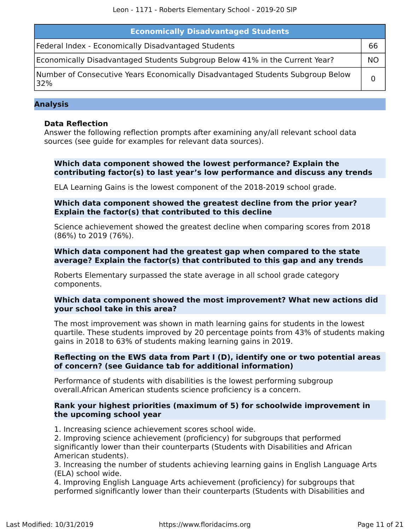| <b>Economically Disadvantaged Students</b>                                            |    |
|---------------------------------------------------------------------------------------|----|
| Federal Index - Economically Disadvantaged Students                                   | 66 |
| Economically Disadvantaged Students Subgroup Below 41% in the Current Year?           | ΝO |
| Number of Consecutive Years Economically Disadvantaged Students Subgroup Below<br>32% |    |

### **Analysis**

### **Data Reflection**

Answer the following reflection prompts after examining any/all relevant school data sources (see guide for examples for relevant data sources).

### **Which data component showed the lowest performance? Explain the contributing factor(s) to last year's low performance and discuss any trends**

ELA Learning Gains is the lowest component of the 2018-2019 school grade.

### **Which data component showed the greatest decline from the prior year? Explain the factor(s) that contributed to this decline**

Science achievement showed the greatest decline when comparing scores from 2018 (86%) to 2019 (76%).

### **Which data component had the greatest gap when compared to the state average? Explain the factor(s) that contributed to this gap and any trends**

Roberts Elementary surpassed the state average in all school grade category components.

### **Which data component showed the most improvement? What new actions did your school take in this area?**

The most improvement was shown in math learning gains for students in the lowest quartile. These students improved by 20 percentage points from 43% of students making gains in 2018 to 63% of students making learning gains in 2019.

### **Reflecting on the EWS data from Part I (D), identify one or two potential areas of concern? (see Guidance tab for additional information)**

Performance of students with disabilities is the lowest performing subgroup overall.African American students science proficiency is a concern.

### **Rank your highest priorities (maximum of 5) for schoolwide improvement in the upcoming school year**

1. Increasing science achievement scores school wide.

2. Improving science achievement (proficiency) for subgroups that performed significantly lower than their counterparts (Students with Disabilities and African American students).

3. Increasing the number of students achieving learning gains in English Language Arts (ELA) school wide.

4. Improving English Language Arts achievement (proficiency) for subgroups that performed significantly lower than their counterparts (Students with Disabilities and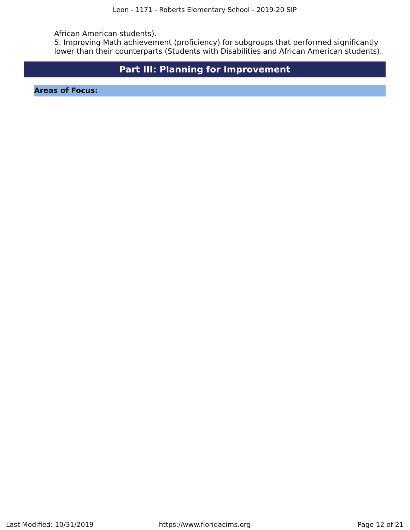African American students).

5. Improving Math achievement (proficiency) for subgroups that performed significantly lower than their counterparts (Students with Disabilities and African American students).

### **Part III: Planning for Improvement**

<span id="page-11-0"></span>**Areas of Focus:**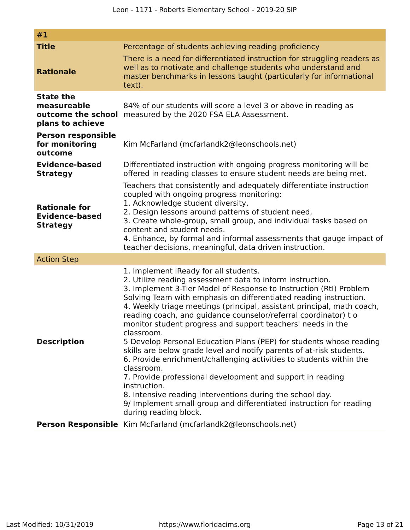| #1                                                                        |                                                                                                                                                                                                                                                                                                                                                                                                                                                                                                                                                                                                                                                                                                                                                                                                                                                                                                                                                       |
|---------------------------------------------------------------------------|-------------------------------------------------------------------------------------------------------------------------------------------------------------------------------------------------------------------------------------------------------------------------------------------------------------------------------------------------------------------------------------------------------------------------------------------------------------------------------------------------------------------------------------------------------------------------------------------------------------------------------------------------------------------------------------------------------------------------------------------------------------------------------------------------------------------------------------------------------------------------------------------------------------------------------------------------------|
| <b>Title</b><br><b>Rationale</b>                                          | Percentage of students achieving reading proficiency<br>There is a need for differentiated instruction for struggling readers as<br>well as to motivate and challenge students who understand and<br>master benchmarks in lessons taught (particularly for informational<br>text).                                                                                                                                                                                                                                                                                                                                                                                                                                                                                                                                                                                                                                                                    |
| <b>State the</b><br>measureable<br>outcome the school<br>plans to achieve | 84% of our students will score a level 3 or above in reading as<br>measured by the 2020 FSA ELA Assessment.                                                                                                                                                                                                                                                                                                                                                                                                                                                                                                                                                                                                                                                                                                                                                                                                                                           |
| <b>Person responsible</b><br>for monitoring<br>outcome                    | Kim McFarland (mcfarlandk2@leonschools.net)                                                                                                                                                                                                                                                                                                                                                                                                                                                                                                                                                                                                                                                                                                                                                                                                                                                                                                           |
| <b>Evidence-based</b><br><b>Strategy</b>                                  | Differentiated instruction with ongoing progress monitoring will be<br>offered in reading classes to ensure student needs are being met.                                                                                                                                                                                                                                                                                                                                                                                                                                                                                                                                                                                                                                                                                                                                                                                                              |
| <b>Rationale for</b><br><b>Evidence-based</b><br><b>Strategy</b>          | Teachers that consistently and adequately differentiate instruction<br>coupled with ongoing progress monitoring:<br>1. Acknowledge student diversity,<br>2. Design lessons around patterns of student need,<br>3. Create whole-group, small group, and individual tasks based on<br>content and student needs.<br>4. Enhance, by formal and informal assessments that gauge impact of<br>teacher decisions, meaningful, data driven instruction.                                                                                                                                                                                                                                                                                                                                                                                                                                                                                                      |
| <b>Action Step</b>                                                        |                                                                                                                                                                                                                                                                                                                                                                                                                                                                                                                                                                                                                                                                                                                                                                                                                                                                                                                                                       |
| <b>Description</b>                                                        | 1. Implement iReady for all students.<br>2. Utilize reading assessment data to inform instruction.<br>3. Implement 3-Tier Model of Response to Instruction (RtI) Problem<br>Solving Team with emphasis on differentiated reading instruction.<br>4. Weekly triage meetings (principal, assistant principal, math coach,<br>reading coach, and guidance counselor/referral coordinator) to<br>monitor student progress and support teachers' needs in the<br>classroom.<br>5 Develop Personal Education Plans (PEP) for students whose reading<br>skills are below grade level and notify parents of at-risk students.<br>6. Provide enrichment/challenging activities to students within the<br>classroom.<br>7. Provide professional development and support in reading<br>instruction.<br>8. Intensive reading interventions during the school day.<br>9/ Implement small group and differentiated instruction for reading<br>during reading block. |
|                                                                           | Person Responsible Kim McFarland (mcfarlandk2@leonschools.net)                                                                                                                                                                                                                                                                                                                                                                                                                                                                                                                                                                                                                                                                                                                                                                                                                                                                                        |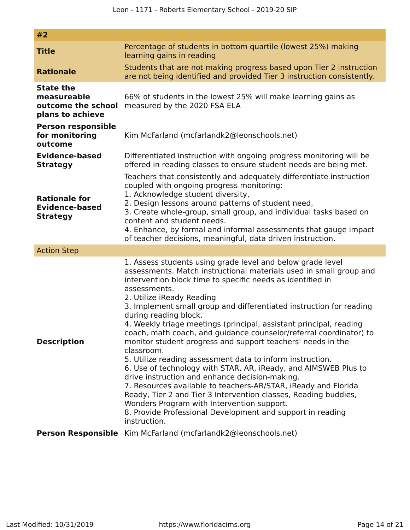| #2                                                                        |                                                                                                                                                                                                                                                                                                                                                                                                                                                                                                                                                                                                                                                                                                                                                                                                                                                                                                                                                                                                                         |
|---------------------------------------------------------------------------|-------------------------------------------------------------------------------------------------------------------------------------------------------------------------------------------------------------------------------------------------------------------------------------------------------------------------------------------------------------------------------------------------------------------------------------------------------------------------------------------------------------------------------------------------------------------------------------------------------------------------------------------------------------------------------------------------------------------------------------------------------------------------------------------------------------------------------------------------------------------------------------------------------------------------------------------------------------------------------------------------------------------------|
| <b>Title</b>                                                              | Percentage of students in bottom quartile (lowest 25%) making<br>learning gains in reading                                                                                                                                                                                                                                                                                                                                                                                                                                                                                                                                                                                                                                                                                                                                                                                                                                                                                                                              |
| <b>Rationale</b>                                                          | Students that are not making progress based upon Tier 2 instruction<br>are not being identified and provided Tier 3 instruction consistently.                                                                                                                                                                                                                                                                                                                                                                                                                                                                                                                                                                                                                                                                                                                                                                                                                                                                           |
| <b>State the</b><br>measureable<br>outcome the school<br>plans to achieve | 66% of students in the lowest 25% will make learning gains as<br>measured by the 2020 FSA ELA                                                                                                                                                                                                                                                                                                                                                                                                                                                                                                                                                                                                                                                                                                                                                                                                                                                                                                                           |
| <b>Person responsible</b><br>for monitoring<br>outcome                    | Kim McFarland (mcfarlandk2@leonschools.net)                                                                                                                                                                                                                                                                                                                                                                                                                                                                                                                                                                                                                                                                                                                                                                                                                                                                                                                                                                             |
| <b>Evidence-based</b><br><b>Strategy</b>                                  | Differentiated instruction with ongoing progress monitoring will be<br>offered in reading classes to ensure student needs are being met.                                                                                                                                                                                                                                                                                                                                                                                                                                                                                                                                                                                                                                                                                                                                                                                                                                                                                |
| <b>Rationale for</b><br><b>Evidence-based</b><br><b>Strategy</b>          | Teachers that consistently and adequately differentiate instruction<br>coupled with ongoing progress monitoring:<br>1. Acknowledge student diversity,<br>2. Design lessons around patterns of student need,<br>3. Create whole-group, small group, and individual tasks based on<br>content and student needs.<br>4. Enhance, by formal and informal assessments that gauge impact<br>of teacher decisions, meaningful, data driven instruction.                                                                                                                                                                                                                                                                                                                                                                                                                                                                                                                                                                        |
| <b>Action Step</b>                                                        |                                                                                                                                                                                                                                                                                                                                                                                                                                                                                                                                                                                                                                                                                                                                                                                                                                                                                                                                                                                                                         |
| <b>Description</b>                                                        | 1. Assess students using grade level and below grade level<br>assessments. Match instructional materials used in small group and<br>intervention block time to specific needs as identified in<br>assessments.<br>2. Utilize iReady Reading<br>3. Implement small group and differentiated instruction for reading<br>during reading block.<br>4. Weekly triage meetings (principal, assistant principal, reading<br>coach, math coach, and guidance counselor/referral coordinator) to<br>monitor student progress and support teachers' needs in the<br>classroom.<br>5. Utilize reading assessment data to inform instruction.<br>6. Use of technology with STAR, AR, iReady, and AIMSWEB Plus to<br>drive instruction and enhance decision-making.<br>7. Resources available to teachers-AR/STAR, iReady and Florida<br>Ready, Tier 2 and Tier 3 Intervention classes, Reading buddies,<br>Wonders Program with Intervention support.<br>8. Provide Professional Development and support in reading<br>instruction. |
|                                                                           | Person Responsible Kim McFarland (mcfarlandk2@leonschools.net)                                                                                                                                                                                                                                                                                                                                                                                                                                                                                                                                                                                                                                                                                                                                                                                                                                                                                                                                                          |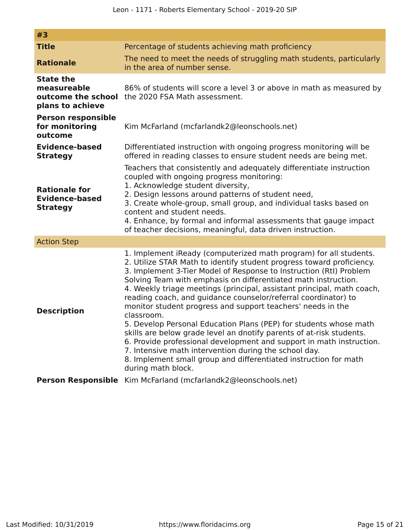| #3                                                                                                    |                                                                                                                                                                                                                                                                                                                                                                                                                                                                                                                                                                                                                                                                                                                                                                                                                                                                                     |  |
|-------------------------------------------------------------------------------------------------------|-------------------------------------------------------------------------------------------------------------------------------------------------------------------------------------------------------------------------------------------------------------------------------------------------------------------------------------------------------------------------------------------------------------------------------------------------------------------------------------------------------------------------------------------------------------------------------------------------------------------------------------------------------------------------------------------------------------------------------------------------------------------------------------------------------------------------------------------------------------------------------------|--|
| <b>Title</b>                                                                                          | Percentage of students achieving math proficiency                                                                                                                                                                                                                                                                                                                                                                                                                                                                                                                                                                                                                                                                                                                                                                                                                                   |  |
| <b>Rationale</b>                                                                                      | The need to meet the needs of struggling math students, particularly<br>in the area of number sense.                                                                                                                                                                                                                                                                                                                                                                                                                                                                                                                                                                                                                                                                                                                                                                                |  |
| <b>State the</b><br>measureable<br>plans to achieve                                                   | 86% of students will score a level 3 or above in math as measured by<br><b>outcome the school</b> the 2020 FSA Math assessment.                                                                                                                                                                                                                                                                                                                                                                                                                                                                                                                                                                                                                                                                                                                                                     |  |
| <b>Person responsible</b><br>for monitoring<br>Kim McFarland (mcfarlandk2@leonschools.net)<br>outcome |                                                                                                                                                                                                                                                                                                                                                                                                                                                                                                                                                                                                                                                                                                                                                                                                                                                                                     |  |
| Evidence-based<br><b>Strategy</b>                                                                     | Differentiated instruction with ongoing progress monitoring will be<br>offered in reading classes to ensure student needs are being met.                                                                                                                                                                                                                                                                                                                                                                                                                                                                                                                                                                                                                                                                                                                                            |  |
| <b>Rationale for</b><br><b>Evidence-based</b><br><b>Strategy</b>                                      | Teachers that consistently and adequately differentiate instruction<br>coupled with ongoing progress monitoring:<br>1. Acknowledge student diversity,<br>2. Design lessons around patterns of student need,<br>3. Create whole-group, small group, and individual tasks based on<br>content and student needs.<br>4. Enhance, by formal and informal assessments that gauge impact<br>of teacher decisions, meaningful, data driven instruction.                                                                                                                                                                                                                                                                                                                                                                                                                                    |  |
| <b>Action Step</b>                                                                                    |                                                                                                                                                                                                                                                                                                                                                                                                                                                                                                                                                                                                                                                                                                                                                                                                                                                                                     |  |
| <b>Description</b>                                                                                    | 1. Implement iReady (computerized math program) for all students.<br>2. Utilize STAR Math to identify student progress toward proficiency.<br>3. Implement 3-Tier Model of Response to Instruction (RtI) Problem<br>Solving Team with emphasis on differentiated math instruction.<br>4. Weekly triage meetings (principal, assistant principal, math coach,<br>reading coach, and guidance counselor/referral coordinator) to<br>monitor student progress and support teachers' needs in the<br>classroom.<br>5. Develop Personal Education Plans (PEP) for students whose math<br>skills are below grade level an dnotify parents of at-risk students.<br>6. Provide professional development and support in math instruction.<br>7. Intensive math intervention during the school day.<br>8. Implement small group and differentiated instruction for math<br>during math block. |  |
|                                                                                                       | Person Responsible Kim McFarland (mcfarlandk2@leonschools.net)                                                                                                                                                                                                                                                                                                                                                                                                                                                                                                                                                                                                                                                                                                                                                                                                                      |  |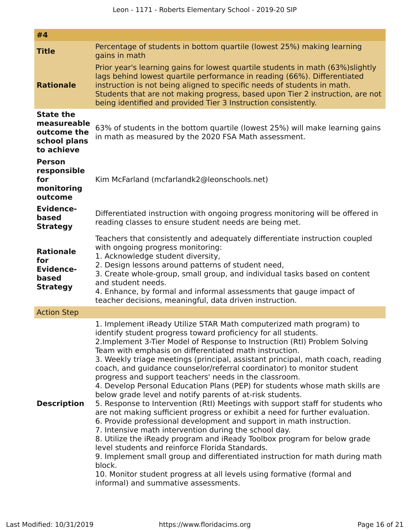| #4                                                                           |                                                                                                                                                                                                                                                                                                                                                                                                                                                                                                                                                                                                                                                                                                                                                                                                                                                                                                                                                                                                                                                                                                                                                                                                                                                                                                |  |  |
|------------------------------------------------------------------------------|------------------------------------------------------------------------------------------------------------------------------------------------------------------------------------------------------------------------------------------------------------------------------------------------------------------------------------------------------------------------------------------------------------------------------------------------------------------------------------------------------------------------------------------------------------------------------------------------------------------------------------------------------------------------------------------------------------------------------------------------------------------------------------------------------------------------------------------------------------------------------------------------------------------------------------------------------------------------------------------------------------------------------------------------------------------------------------------------------------------------------------------------------------------------------------------------------------------------------------------------------------------------------------------------|--|--|
| <b>Title</b>                                                                 | Percentage of students in bottom quartile (lowest 25%) making learning<br>gains in math                                                                                                                                                                                                                                                                                                                                                                                                                                                                                                                                                                                                                                                                                                                                                                                                                                                                                                                                                                                                                                                                                                                                                                                                        |  |  |
| <b>Rationale</b>                                                             | Prior year's learning gains for lowest quartile students in math (63%) slightly<br>lags behind lowest quartile performance in reading (66%). Differentiated<br>instruction is not being aligned to specific needs of students in math.<br>Students that are not making progress, based upon Tier 2 instruction, are not<br>being identified and provided Tier 3 Instruction consistently.                                                                                                                                                                                                                                                                                                                                                                                                                                                                                                                                                                                                                                                                                                                                                                                                                                                                                                      |  |  |
| <b>State the</b><br>measureable<br>outcome the<br>school plans<br>to achieve | 63% of students in the bottom quartile (lowest 25%) will make learning gains<br>in math as measured by the 2020 FSA Math assessment.                                                                                                                                                                                                                                                                                                                                                                                                                                                                                                                                                                                                                                                                                                                                                                                                                                                                                                                                                                                                                                                                                                                                                           |  |  |
| <b>Person</b><br>responsible<br>for<br>monitoring<br>outcome                 | Kim McFarland (mcfarlandk2@leonschools.net)                                                                                                                                                                                                                                                                                                                                                                                                                                                                                                                                                                                                                                                                                                                                                                                                                                                                                                                                                                                                                                                                                                                                                                                                                                                    |  |  |
| <b>Evidence-</b><br>based<br><b>Strategy</b>                                 | Differentiated instruction with ongoing progress monitoring will be offered in<br>reading classes to ensure student needs are being met.                                                                                                                                                                                                                                                                                                                                                                                                                                                                                                                                                                                                                                                                                                                                                                                                                                                                                                                                                                                                                                                                                                                                                       |  |  |
| <b>Rationale</b><br>for<br><b>Evidence-</b><br>based<br><b>Strategy</b>      | Teachers that consistently and adequately differentiate instruction coupled<br>with ongoing progress monitoring:<br>1. Acknowledge student diversity,<br>2. Design lessons around patterns of student need,<br>3. Create whole-group, small group, and individual tasks based on content<br>and student needs.<br>4. Enhance, by formal and informal assessments that gauge impact of<br>teacher decisions, meaningful, data driven instruction.                                                                                                                                                                                                                                                                                                                                                                                                                                                                                                                                                                                                                                                                                                                                                                                                                                               |  |  |
| <b>Action Step</b>                                                           |                                                                                                                                                                                                                                                                                                                                                                                                                                                                                                                                                                                                                                                                                                                                                                                                                                                                                                                                                                                                                                                                                                                                                                                                                                                                                                |  |  |
| <b>Description</b>                                                           | 1. Implement iReady Utilize STAR Math computerized math program) to<br>identify student progress toward proficiency for all students.<br>2. Implement 3-Tier Model of Response to Instruction (RtI) Problem Solving<br>Team with emphasis on differentiated math instruction.<br>3. Weekly triage meetings (principal, assistant principal, math coach, reading<br>coach, and guidance counselor/referral coordinator) to monitor student<br>progress and support teachers' needs in the classroom.<br>4. Develop Personal Education Plans (PEP) for students whose math skills are<br>below grade level and notify parents of at-risk students.<br>5. Response to Intervention (RtI) Meetings with support staff for students who<br>are not making sufficient progress or exhibit a need for further evaluation.<br>6. Provide professional development and support in math instruction.<br>7. Intensive math intervention during the school day.<br>8. Utilize the iReady program and iReady Toolbox program for below grade<br>level students and reinforce Florida Standards.<br>9. Implement small group and differentiated instruction for math during math<br>block.<br>10. Monitor student progress at all levels using formative (formal and<br>informal) and summative assessments. |  |  |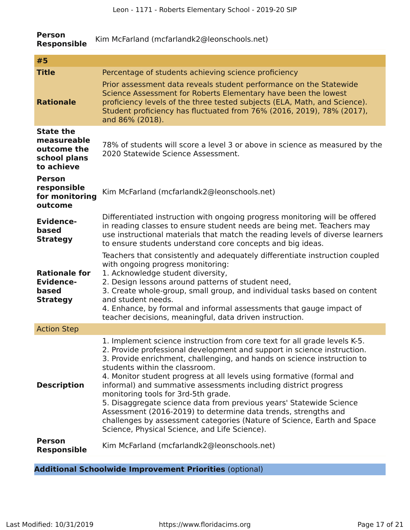| <b>Person</b><br><b>Responsible</b>                                          | Kim McFarland (mcfarlandk2@leonschools.net)                                                                                                                                                                                                                                                                                                                                                                                                                                                                                                                                                                                                                                                                               |  |  |
|------------------------------------------------------------------------------|---------------------------------------------------------------------------------------------------------------------------------------------------------------------------------------------------------------------------------------------------------------------------------------------------------------------------------------------------------------------------------------------------------------------------------------------------------------------------------------------------------------------------------------------------------------------------------------------------------------------------------------------------------------------------------------------------------------------------|--|--|
| #5                                                                           |                                                                                                                                                                                                                                                                                                                                                                                                                                                                                                                                                                                                                                                                                                                           |  |  |
| <b>Title</b>                                                                 | Percentage of students achieving science proficiency                                                                                                                                                                                                                                                                                                                                                                                                                                                                                                                                                                                                                                                                      |  |  |
| <b>Rationale</b>                                                             | Prior assessment data reveals student performance on the Statewide<br>Science Assessment for Roberts Elementary have been the lowest<br>proficiency levels of the three tested subjects (ELA, Math, and Science).<br>Student proficiency has fluctuated from 76% (2016, 2019), 78% (2017),<br>and 86% (2018).                                                                                                                                                                                                                                                                                                                                                                                                             |  |  |
| <b>State the</b><br>measureable<br>outcome the<br>school plans<br>to achieve | 78% of students will score a level 3 or above in science as measured by the<br>2020 Statewide Science Assessment.                                                                                                                                                                                                                                                                                                                                                                                                                                                                                                                                                                                                         |  |  |
| <b>Person</b><br>responsible<br>for monitoring<br>outcome                    | Kim McFarland (mcfarlandk2@leonschools.net)                                                                                                                                                                                                                                                                                                                                                                                                                                                                                                                                                                                                                                                                               |  |  |
| <b>Evidence-</b><br>based<br><b>Strategy</b>                                 | Differentiated instruction with ongoing progress monitoring will be offered<br>in reading classes to ensure student needs are being met. Teachers may<br>use instructional materials that match the reading levels of diverse learners<br>to ensure students understand core concepts and big ideas.                                                                                                                                                                                                                                                                                                                                                                                                                      |  |  |
| <b>Rationale for</b><br><b>Evidence-</b><br>based<br><b>Strategy</b>         | Teachers that consistently and adequately differentiate instruction coupled<br>with ongoing progress monitoring:<br>1. Acknowledge student diversity,<br>2. Design lessons around patterns of student need,<br>3. Create whole-group, small group, and individual tasks based on content<br>and student needs.<br>4. Enhance, by formal and informal assessments that gauge impact of<br>teacher decisions, meaningful, data driven instruction.                                                                                                                                                                                                                                                                          |  |  |
| <b>Action Step</b>                                                           |                                                                                                                                                                                                                                                                                                                                                                                                                                                                                                                                                                                                                                                                                                                           |  |  |
| <b>Description</b>                                                           | 1. Implement science instruction from core text for all grade levels K-5.<br>2. Provide professional development and support in science instruction.<br>3. Provide enrichment, challenging, and hands on science instruction to<br>students within the classroom.<br>4. Monitor student progress at all levels using formative (formal and<br>informal) and summative assessments including district progress<br>monitoring tools for 3rd-5th grade.<br>5. Disaggregate science data from previous years' Statewide Science<br>Assessment (2016-2019) to determine data trends, strengths and<br>challenges by assessment categories (Nature of Science, Earth and Space<br>Science, Physical Science, and Life Science). |  |  |
| <b>Person</b><br><b>Responsible</b>                                          | Kim McFarland (mcfarlandk2@leonschools.net)                                                                                                                                                                                                                                                                                                                                                                                                                                                                                                                                                                                                                                                                               |  |  |
|                                                                              |                                                                                                                                                                                                                                                                                                                                                                                                                                                                                                                                                                                                                                                                                                                           |  |  |

# **Additional Schoolwide Improvement Priorities** (optional)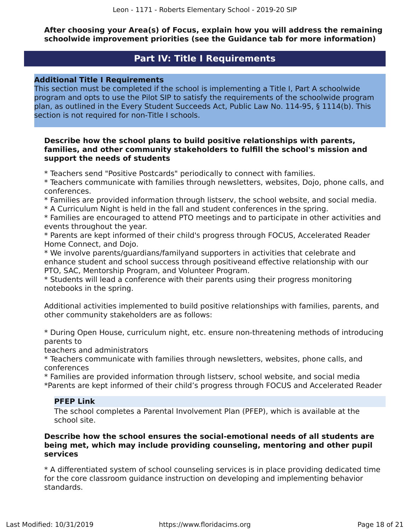**After choosing your Area(s) of Focus, explain how you will address the remaining schoolwide improvement priorities (see the Guidance tab for more information)**

### **Part IV: Title I Requirements**

### <span id="page-17-0"></span>**Additional Title I Requirements**

This section must be completed if the school is implementing a Title I, Part A schoolwide program and opts to use the Pilot SIP to satisfy the requirements of the schoolwide program plan, as outlined in the Every Student Succeeds Act, Public Law No. 114-95, § 1114(b). This section is not required for non-Title I schools.

### **Describe how the school plans to build positive relationships with parents, families, and other community stakeholders to fulfill the school's mission and support the needs of students**

\* Teachers send "Positive Postcards" periodically to connect with families.

\* Teachers communicate with families through newsletters, websites, Dojo, phone calls, and conferences.

\* Families are provided information through listserv, the school website, and social media.

\* A Curriculum Night is held in the fall and student conferences in the spring.

\* Families are encouraged to attend PTO meetings and to participate in other activities and events throughout the year.

\* Parents are kept informed of their child's progress through FOCUS, Accelerated Reader Home Connect, and Dojo.

\* We involve parents/guardians/familyand supporters in activities that celebrate and enhance student and school success through positiveand effective relationship with our PTO, SAC, Mentorship Program, and Volunteer Program.

\* Students will lead a conference with their parents using their progress monitoring notebooks in the spring.

Additional activities implemented to build positive relationships with families, parents, and other community stakeholders are as follows:

\* During Open House, curriculum night, etc. ensure non-threatening methods of introducing parents to

teachers and administrators

\* Teachers communicate with families through newsletters, websites, phone calls, and conferences

\* Families are provided information through listserv, school website, and social media \*Parents are kept informed of their child's progress through FOCUS and Accelerated Reader

### **PFEP Link**

The school completes a Parental Involvement Plan (PFEP), which is available at the school site.

### **Describe how the school ensures the social-emotional needs of all students are being met, which may include providing counseling, mentoring and other pupil services**

\* A differentiated system of school counseling services is in place providing dedicated time for the core classroom guidance instruction on developing and implementing behavior standards.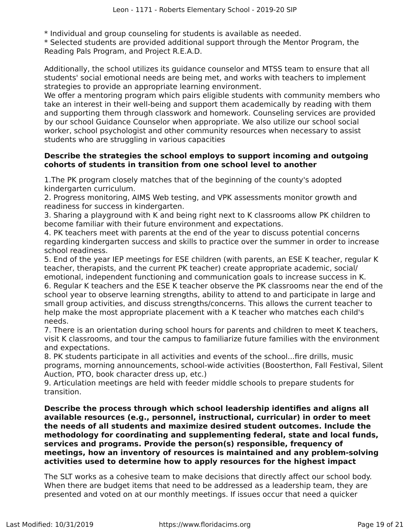\* Individual and group counseling for students is available as needed.

\* Selected students are provided additional support through the Mentor Program, the Reading Pals Program, and Project R.E.A.D.

Additionally, the school utilizes its guidance counselor and MTSS team to ensure that all students' social emotional needs are being met, and works with teachers to implement strategies to provide an appropriate learning environment.

We offer a mentoring program which pairs eligible students with community members who take an interest in their well-being and support them academically by reading with them and supporting them through classwork and homework. Counseling services are provided by our school Guidance Counselor when appropriate. We also utilize our school social worker, school psychologist and other community resources when necessary to assist students who are struggling in various capacities

### **Describe the strategies the school employs to support incoming and outgoing cohorts of students in transition from one school level to another**

1.The PK program closely matches that of the beginning of the county's adopted kindergarten curriculum.

2. Progress monitoring, AIMS Web testing, and VPK assessments monitor growth and readiness for success in kindergarten.

3. Sharing a playground with K and being right next to K classrooms allow PK children to become familiar with their future environment and expectations.

4. PK teachers meet with parents at the end of the year to discuss potential concerns regarding kindergarten success and skills to practice over the summer in order to increase school readiness.

5. End of the year IEP meetings for ESE children (with parents, an ESE K teacher, regular K teacher, therapists, and the current PK teacher) create appropriate academic, social/ emotional, independent functioning and communication goals to increase success in K. 6. Regular K teachers and the ESE K teacher observe the PK classrooms near the end of the school year to observe learning strengths, ability to attend to and participate in large and small group activities, and discuss strengths/concerns. This allows the current teacher to help make the most appropriate placement with a K teacher who matches each child's needs.

7. There is an orientation during school hours for parents and children to meet K teachers, visit K classrooms, and tour the campus to familiarize future families with the environment and expectations.

8. PK students participate in all activities and events of the school...fire drills, music programs, morning announcements, school-wide activities (Boosterthon, Fall Festival, Silent Auction, PTO, book character dress up, etc.)

9. Articulation meetings are held with feeder middle schools to prepare students for transition.

**Describe the process through which school leadership identifies and aligns all available resources (e.g., personnel, instructional, curricular) in order to meet the needs of all students and maximize desired student outcomes. Include the methodology for coordinating and supplementing federal, state and local funds, services and programs. Provide the person(s) responsible, frequency of meetings, how an inventory of resources is maintained and any problem-solving activities used to determine how to apply resources for the highest impact**

The SLT works as a cohesive team to make decisions that directly affect our school body. When there are budget items that need to be addressed as a leadership team, they are presented and voted on at our monthly meetings. If issues occur that need a quicker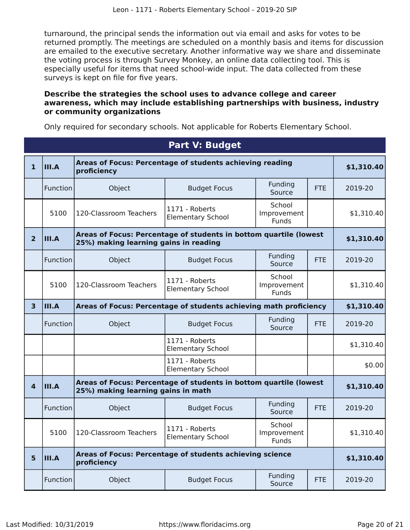turnaround, the principal sends the information out via email and asks for votes to be returned promptly. The meetings are scheduled on a monthly basis and items for discussion are emailed to the executive secretary. Another informative way we share and disseminate the voting process is through Survey Monkey, an online data collecting tool. This is especially useful for items that need school-wide input. The data collected from these surveys is kept on file for five years.

### **Describe the strategies the school uses to advance college and career awareness, which may include establishing partnerships with business, industry or community organizations**

Only required for secondary schools. Not applicable for Roberts Elementary School.

<span id="page-19-0"></span>

|                         | <b>Part V: Budget</b> |                                                                                                            |                                            |                                |            |            |  |
|-------------------------|-----------------------|------------------------------------------------------------------------------------------------------------|--------------------------------------------|--------------------------------|------------|------------|--|
| $\mathbf{1}$            | $\vert$ III.A         | Areas of Focus: Percentage of students achieving reading<br>proficiency                                    |                                            |                                |            | \$1,310.40 |  |
|                         | Function              | Object                                                                                                     | <b>Budget Focus</b>                        | Funding<br>Source              | <b>FTE</b> | 2019-20    |  |
|                         | 5100                  | 120-Classroom Teachers                                                                                     | 1171 - Roberts<br><b>Elementary School</b> | School<br>Improvement<br>Funds |            | \$1,310.40 |  |
| $\overline{2}$          | III.A                 | Areas of Focus: Percentage of students in bottom quartile (lowest<br>25%) making learning gains in reading |                                            |                                |            | \$1,310.40 |  |
|                         | Function              | Object                                                                                                     | <b>Budget Focus</b>                        | Funding<br>Source              | <b>FTE</b> | 2019-20    |  |
|                         | 5100                  | 120-Classroom Teachers                                                                                     | 1171 - Roberts<br><b>Elementary School</b> | School<br>Improvement<br>Funds |            | \$1,310.40 |  |
| $\overline{\mathbf{3}}$ | III.A                 | Areas of Focus: Percentage of students achieving math proficiency                                          |                                            |                                |            | \$1,310.40 |  |
|                         | Function              | Object                                                                                                     | <b>Budget Focus</b>                        | Funding<br>Source              | <b>FTE</b> | 2019-20    |  |
|                         |                       |                                                                                                            | 1171 - Roberts<br><b>Elementary School</b> |                                |            | \$1,310.40 |  |
|                         |                       |                                                                                                            | 1171 - Roberts<br><b>Elementary School</b> |                                |            | \$0.00     |  |
| $\overline{a}$          | III.A                 | Areas of Focus: Percentage of students in bottom quartile (lowest<br>25%) making learning gains in math    |                                            |                                |            | \$1,310.40 |  |
|                         | Function              | Object                                                                                                     | <b>Budget Focus</b>                        | Funding<br>Source              | <b>FTE</b> | 2019-20    |  |
|                         | 5100                  | 120-Classroom Teachers                                                                                     | 1171 - Roberts<br><b>Elementary School</b> | School<br>Improvement<br>Funds |            | \$1,310.40 |  |
| 5                       | III.A                 | Areas of Focus: Percentage of students achieving science<br>proficiency                                    |                                            |                                |            | \$1,310.40 |  |
|                         | Function              | Object                                                                                                     | <b>Budget Focus</b>                        | Funding<br>Source              | <b>FTE</b> | 2019-20    |  |